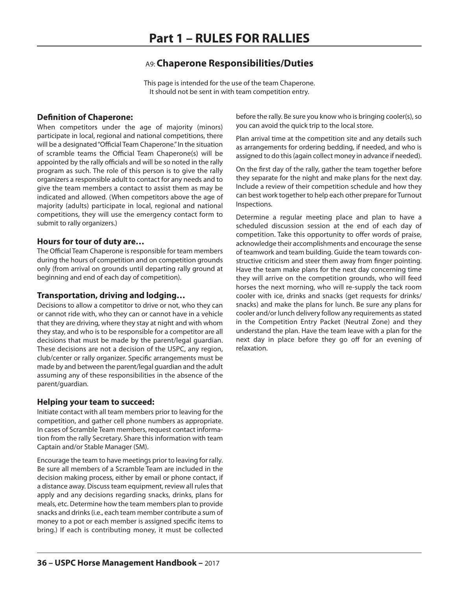## A9:**Chaperone Responsibilities/Duties**

This page is intended for the use of the team Chaperone. It should not be sent in with team competition entry.

#### **Definition of Chaperone:**

When competitors under the age of majority (minors) participate in local, regional and national competitions, there will be a designated"Official Team Chaperone."In the situation of scramble teams the Official Team Chaperone(s) will be appointed by the rally officials and will be so noted in the rally program as such. The role of this person is to give the rally organizers a responsible adult to contact for any needs and to give the team members a contact to assist them as may be indicated and allowed. (When competitors above the age of majority (adults) participate in local, regional and national competitions, they will use the emergency contact form to submit to rally organizers.)

#### **Hours for tour of duty are…**

The Official Team Chaperone is responsible for team members during the hours of competition and on competition grounds only (from arrival on grounds until departing rally ground at beginning and end of each day of competition).

#### **Transportation, driving and lodging…**

Decisions to allow a competitor to drive or not, who they can or cannot ride with, who they can or cannot have in a vehicle that they are driving, where they stay at night and with whom they stay, and who is to be responsible for a competitor are all decisions that must be made by the parent/legal guardian. These decisions are not a decision of the USPC, any region, club/center or rally organizer. Specific arrangements must be made by and between the parent/legal guardian and the adult assuming any of these responsibilities in the absence of the parent/guardian.

#### **Helping your team to succeed:**

Initiate contact with all team members prior to leaving for the competition, and gather cell phone numbers as appropriate. In cases of Scramble Team members, request contact information from the rally Secretary. Share this information with team Captain and/or Stable Manager (SM).

Encourage the team to have meetings prior to leaving for rally. Be sure all members of a Scramble Team are included in the decision making process, either by email or phone contact, if a distance away. Discuss team equipment, review all rules that apply and any decisions regarding snacks, drinks, plans for meals, etc. Determine how the team members plan to provide snacks and drinks(i.e., each team member contribute a sum of money to a pot or each member is assigned specific items to bring.) If each is contributing money, it must be collected

before the rally. Be sure you know who is bringing cooler(s), so you can avoid the quick trip to the local store.

Plan arrival time at the competition site and any details such as arrangements for ordering bedding, if needed, and who is assigned to do this (again collect money in advance if needed).

On the first day of the rally, gather the team together before they separate for the night and make plans for the next day. Include a review of their competition schedule and how they can best work together to help each other prepare for Turnout Inspections.

Determine a regular meeting place and plan to have a scheduled discussion session at the end of each day of competition. Take this opportunity to offer words of praise, acknowledge their accomplishments and encourage the sense of teamwork and team building. Guide the team towards constructive criticism and steer them away from finger pointing. Have the team make plans for the next day concerning time they will arrive on the competition grounds, who will feed horses the next morning, who will re-supply the tack room cooler with ice, drinks and snacks (get requests for drinks/ snacks) and make the plans for lunch. Be sure any plans for cooler and/or lunch delivery follow any requirements as stated in the Competition Entry Packet (Neutral Zone) and they understand the plan. Have the team leave with a plan for the next day in place before they go off for an evening of relaxation.